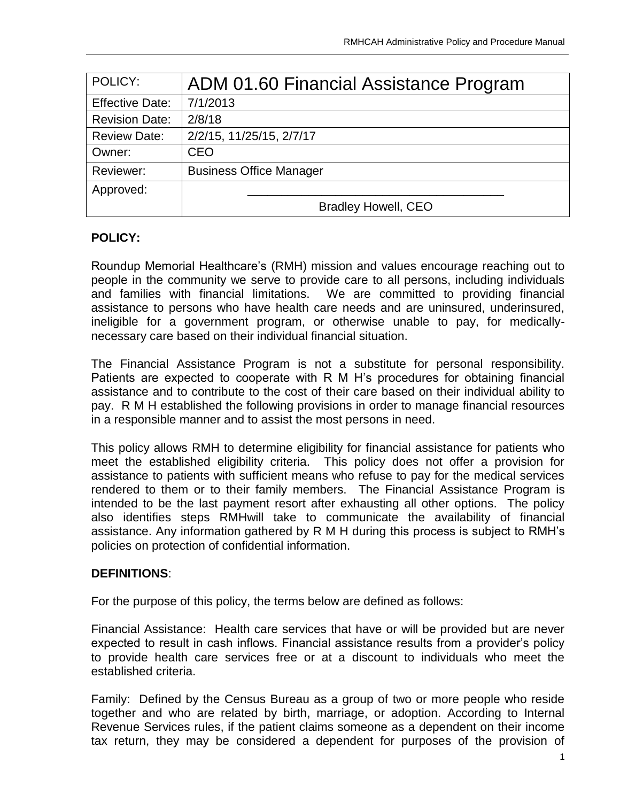| POLICY:                | ADM 01.60 Financial Assistance Program |
|------------------------|----------------------------------------|
| <b>Effective Date:</b> | 7/1/2013                               |
| <b>Revision Date:</b>  | 2/8/18                                 |
| <b>Review Date:</b>    | 2/2/15, 11/25/15, 2/7/17               |
| Owner:                 | <b>CEO</b>                             |
| Reviewer:              | <b>Business Office Manager</b>         |
| Approved:              |                                        |
|                        | <b>Bradley Howell, CEO</b>             |

#### **POLICY:**

Roundup Memorial Healthcare's (RMH) mission and values encourage reaching out to people in the community we serve to provide care to all persons, including individuals and families with financial limitations. We are committed to providing financial assistance to persons who have health care needs and are uninsured, underinsured, ineligible for a government program, or otherwise unable to pay, for medicallynecessary care based on their individual financial situation.

The Financial Assistance Program is not a substitute for personal responsibility. Patients are expected to cooperate with R M H's procedures for obtaining financial assistance and to contribute to the cost of their care based on their individual ability to pay. R M H established the following provisions in order to manage financial resources in a responsible manner and to assist the most persons in need.

This policy allows RMH to determine eligibility for financial assistance for patients who meet the established eligibility criteria. This policy does not offer a provision for assistance to patients with sufficient means who refuse to pay for the medical services rendered to them or to their family members. The Financial Assistance Program is intended to be the last payment resort after exhausting all other options. The policy also identifies steps RMHwill take to communicate the availability of financial assistance. Any information gathered by R M H during this process is subject to RMH's policies on protection of confidential information.

#### **DEFINITIONS**:

For the purpose of this policy, the terms below are defined as follows:

Financial Assistance: Health care services that have or will be provided but are never expected to result in cash inflows. Financial assistance results from a provider's policy to provide health care services free or at a discount to individuals who meet the established criteria.

Family: Defined by the Census Bureau as a group of two or more people who reside together and who are related by birth, marriage, or adoption. According to Internal Revenue Services rules, if the patient claims someone as a dependent on their income tax return, they may be considered a dependent for purposes of the provision of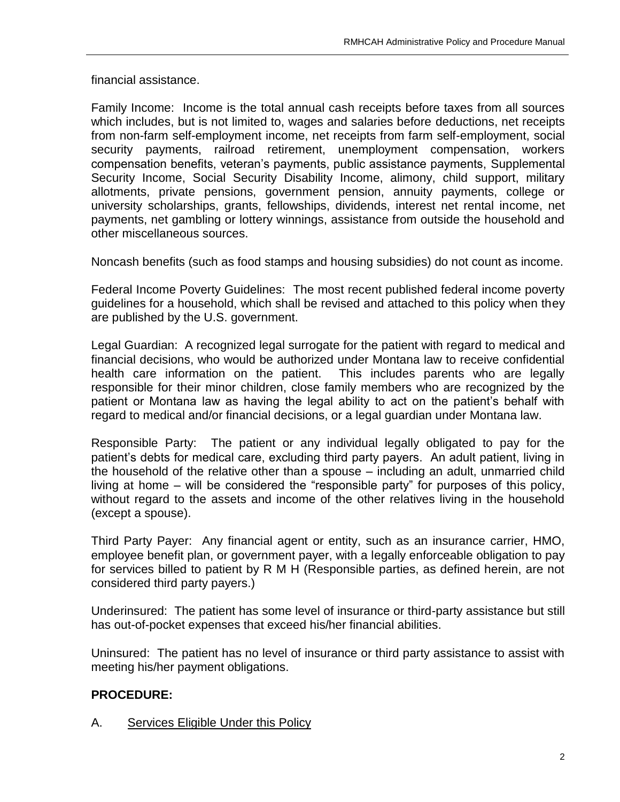financial assistance.

Family Income: Income is the total annual cash receipts before taxes from all sources which includes, but is not limited to, wages and salaries before deductions, net receipts from non-farm self-employment income, net receipts from farm self-employment, social security payments, railroad retirement, unemployment compensation, workers compensation benefits, veteran's payments, public assistance payments, Supplemental Security Income, Social Security Disability Income, alimony, child support, military allotments, private pensions, government pension, annuity payments, college or university scholarships, grants, fellowships, dividends, interest net rental income, net payments, net gambling or lottery winnings, assistance from outside the household and other miscellaneous sources.

Noncash benefits (such as food stamps and housing subsidies) do not count as income.

Federal Income Poverty Guidelines: The most recent published federal income poverty guidelines for a household, which shall be revised and attached to this policy when they are published by the U.S. government.

Legal Guardian: A recognized legal surrogate for the patient with regard to medical and financial decisions, who would be authorized under Montana law to receive confidential health care information on the patient. This includes parents who are legally responsible for their minor children, close family members who are recognized by the patient or Montana law as having the legal ability to act on the patient's behalf with regard to medical and/or financial decisions, or a legal guardian under Montana law.

Responsible Party: The patient or any individual legally obligated to pay for the patient's debts for medical care, excluding third party payers. An adult patient, living in the household of the relative other than a spouse – including an adult, unmarried child living at home – will be considered the "responsible party" for purposes of this policy, without regard to the assets and income of the other relatives living in the household (except a spouse).

Third Party Payer: Any financial agent or entity, such as an insurance carrier, HMO, employee benefit plan, or government payer, with a legally enforceable obligation to pay for services billed to patient by R M H (Responsible parties, as defined herein, are not considered third party payers.)

Underinsured: The patient has some level of insurance or third-party assistance but still has out-of-pocket expenses that exceed his/her financial abilities.

Uninsured: The patient has no level of insurance or third party assistance to assist with meeting his/her payment obligations.

# **PROCEDURE:**

### A. Services Eligible Under this Policy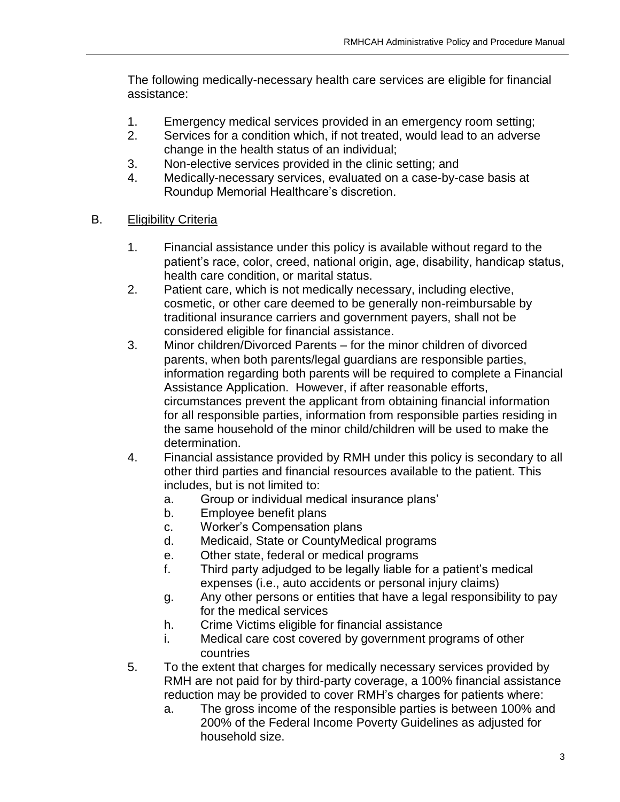The following medically-necessary health care services are eligible for financial assistance:

- 1. Emergency medical services provided in an emergency room setting;
- 2. Services for a condition which, if not treated, would lead to an adverse change in the health status of an individual;
- 3. Non-elective services provided in the clinic setting; and
- 4. Medically-necessary services, evaluated on a case-by-case basis at Roundup Memorial Healthcare's discretion.

### B. Eligibility Criteria

- 1. Financial assistance under this policy is available without regard to the patient's race, color, creed, national origin, age, disability, handicap status, health care condition, or marital status.
- 2. Patient care, which is not medically necessary, including elective, cosmetic, or other care deemed to be generally non-reimbursable by traditional insurance carriers and government payers, shall not be considered eligible for financial assistance.
- 3. Minor children/Divorced Parents for the minor children of divorced parents, when both parents/legal guardians are responsible parties, information regarding both parents will be required to complete a Financial Assistance Application. However, if after reasonable efforts, circumstances prevent the applicant from obtaining financial information for all responsible parties, information from responsible parties residing in the same household of the minor child/children will be used to make the determination.
- 4. Financial assistance provided by RMH under this policy is secondary to all other third parties and financial resources available to the patient. This includes, but is not limited to:
	- a. Group or individual medical insurance plans'
	- b. Employee benefit plans
	- c. Worker's Compensation plans
	- d. Medicaid, State or CountyMedical programs
	- e. Other state, federal or medical programs
	- f. Third party adjudged to be legally liable for a patient's medical expenses (i.e., auto accidents or personal injury claims)
	- g. Any other persons or entities that have a legal responsibility to pay for the medical services
	- h. Crime Victims eligible for financial assistance
	- i. Medical care cost covered by government programs of other countries
- 5. To the extent that charges for medically necessary services provided by RMH are not paid for by third-party coverage, a 100% financial assistance reduction may be provided to cover RMH's charges for patients where:
	- a. The gross income of the responsible parties is between 100% and 200% of the Federal Income Poverty Guidelines as adjusted for household size.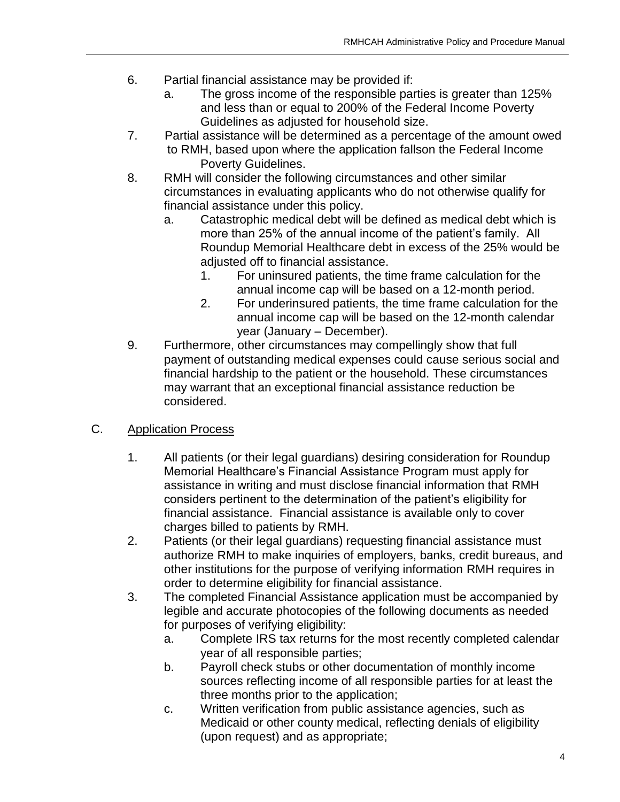- 6. Partial financial assistance may be provided if:
	- a. The gross income of the responsible parties is greater than 125% and less than or equal to 200% of the Federal Income Poverty Guidelines as adjusted for household size.
- 7. Partial assistance will be determined as a percentage of the amount owed to RMH, based upon where the application fallson the Federal Income Poverty Guidelines.
- 8. RMH will consider the following circumstances and other similar circumstances in evaluating applicants who do not otherwise qualify for financial assistance under this policy.
	- a. Catastrophic medical debt will be defined as medical debt which is more than 25% of the annual income of the patient's family. All Roundup Memorial Healthcare debt in excess of the 25% would be adjusted off to financial assistance.
		- 1. For uninsured patients, the time frame calculation for the annual income cap will be based on a 12-month period.
		- 2. For underinsured patients, the time frame calculation for the annual income cap will be based on the 12-month calendar year (January – December).
- 9. Furthermore, other circumstances may compellingly show that full payment of outstanding medical expenses could cause serious social and financial hardship to the patient or the household. These circumstances may warrant that an exceptional financial assistance reduction be considered.

# C. Application Process

- 1. All patients (or their legal guardians) desiring consideration for Roundup Memorial Healthcare's Financial Assistance Program must apply for assistance in writing and must disclose financial information that RMH considers pertinent to the determination of the patient's eligibility for financial assistance. Financial assistance is available only to cover charges billed to patients by RMH.
- 2. Patients (or their legal guardians) requesting financial assistance must authorize RMH to make inquiries of employers, banks, credit bureaus, and other institutions for the purpose of verifying information RMH requires in order to determine eligibility for financial assistance.
- 3. The completed Financial Assistance application must be accompanied by legible and accurate photocopies of the following documents as needed for purposes of verifying eligibility:
	- a. Complete IRS tax returns for the most recently completed calendar year of all responsible parties;
	- b. Payroll check stubs or other documentation of monthly income sources reflecting income of all responsible parties for at least the three months prior to the application;
	- c. Written verification from public assistance agencies, such as Medicaid or other county medical, reflecting denials of eligibility (upon request) and as appropriate;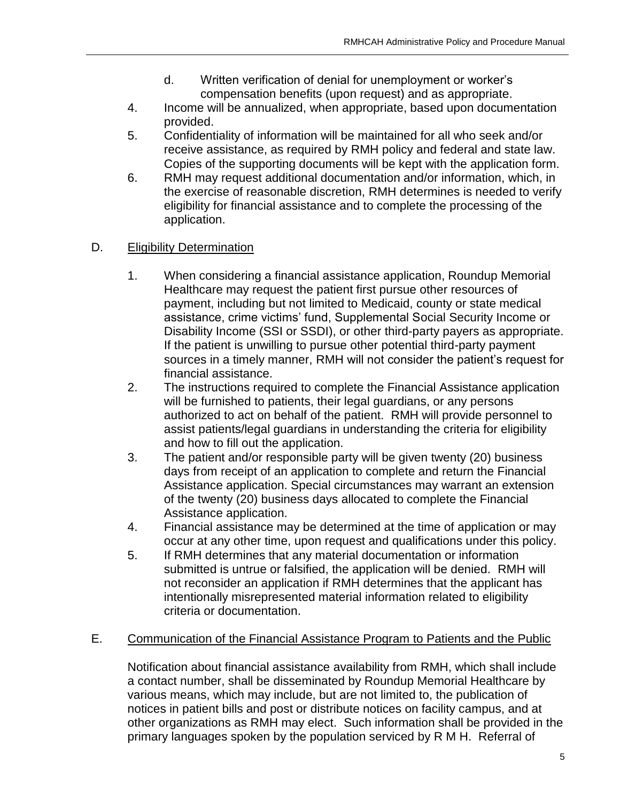- d. Written verification of denial for unemployment or worker's compensation benefits (upon request) and as appropriate.
- 4. Income will be annualized, when appropriate, based upon documentation provided.
- 5. Confidentiality of information will be maintained for all who seek and/or receive assistance, as required by RMH policy and federal and state law. Copies of the supporting documents will be kept with the application form.
- 6. RMH may request additional documentation and/or information, which, in the exercise of reasonable discretion, RMH determines is needed to verify eligibility for financial assistance and to complete the processing of the application.

# D. **Eligibility Determination**

- 1. When considering a financial assistance application, Roundup Memorial Healthcare may request the patient first pursue other resources of payment, including but not limited to Medicaid, county or state medical assistance, crime victims' fund, Supplemental Social Security Income or Disability Income (SSI or SSDI), or other third-party payers as appropriate. If the patient is unwilling to pursue other potential third-party payment sources in a timely manner, RMH will not consider the patient's request for financial assistance.
- 2. The instructions required to complete the Financial Assistance application will be furnished to patients, their legal guardians, or any persons authorized to act on behalf of the patient. RMH will provide personnel to assist patients/legal guardians in understanding the criteria for eligibility and how to fill out the application.
- 3. The patient and/or responsible party will be given twenty (20) business days from receipt of an application to complete and return the Financial Assistance application. Special circumstances may warrant an extension of the twenty (20) business days allocated to complete the Financial Assistance application.
- 4. Financial assistance may be determined at the time of application or may occur at any other time, upon request and qualifications under this policy.
- 5. If RMH determines that any material documentation or information submitted is untrue or falsified, the application will be denied. RMH will not reconsider an application if RMH determines that the applicant has intentionally misrepresented material information related to eligibility criteria or documentation.

### E. Communication of the Financial Assistance Program to Patients and the Public

Notification about financial assistance availability from RMH, which shall include a contact number, shall be disseminated by Roundup Memorial Healthcare by various means, which may include, but are not limited to, the publication of notices in patient bills and post or distribute notices on facility campus, and at other organizations as RMH may elect. Such information shall be provided in the primary languages spoken by the population serviced by R M H. Referral of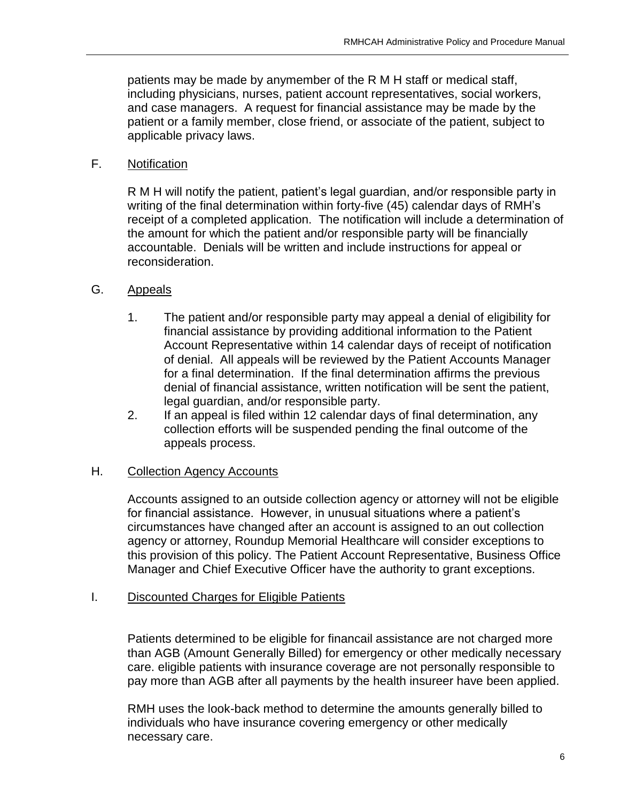patients may be made by anymember of the R M H staff or medical staff, including physicians, nurses, patient account representatives, social workers, and case managers. A request for financial assistance may be made by the patient or a family member, close friend, or associate of the patient, subject to applicable privacy laws.

### F. Notification

R M H will notify the patient, patient's legal guardian, and/or responsible party in writing of the final determination within forty-five (45) calendar days of RMH's receipt of a completed application. The notification will include a determination of the amount for which the patient and/or responsible party will be financially accountable. Denials will be written and include instructions for appeal or reconsideration.

### G. Appeals

- 1. The patient and/or responsible party may appeal a denial of eligibility for financial assistance by providing additional information to the Patient Account Representative within 14 calendar days of receipt of notification of denial. All appeals will be reviewed by the Patient Accounts Manager for a final determination. If the final determination affirms the previous denial of financial assistance, written notification will be sent the patient, legal guardian, and/or responsible party.
- 2. If an appeal is filed within 12 calendar days of final determination, any collection efforts will be suspended pending the final outcome of the appeals process.

# H. Collection Agency Accounts

Accounts assigned to an outside collection agency or attorney will not be eligible for financial assistance. However, in unusual situations where a patient's circumstances have changed after an account is assigned to an out collection agency or attorney, Roundup Memorial Healthcare will consider exceptions to this provision of this policy. The Patient Account Representative, Business Office Manager and Chief Executive Officer have the authority to grant exceptions.

### I. Discounted Charges for Eligible Patients

Patients determined to be eligible for financail assistance are not charged more than AGB (Amount Generally Billed) for emergency or other medically necessary care. eligible patients with insurance coverage are not personally responsible to pay more than AGB after all payments by the health insureer have been applied.

RMH uses the look-back method to determine the amounts generally billed to individuals who have insurance covering emergency or other medically necessary care.